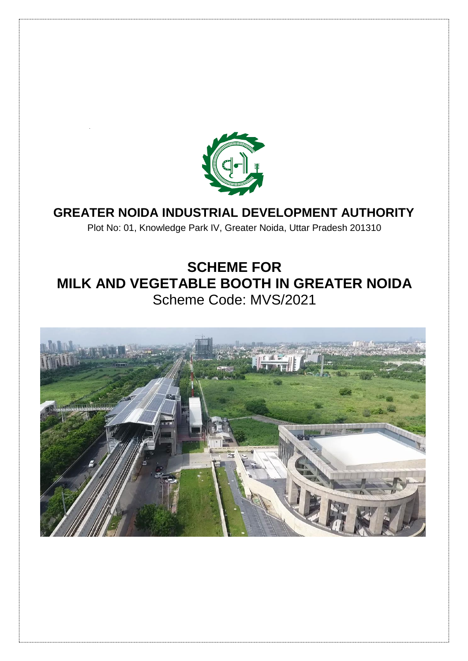

# **GREATER NOIDA INDUSTRIAL DEVELOPMENT AUTHORITY**

Plot No: 01, Knowledge Park IV, Greater Noida, Uttar Pradesh 201310

# **SCHEME FOR MILK AND VEGETABLE BOOTH IN GREATER NOIDA** Scheme Code: MVS/2021

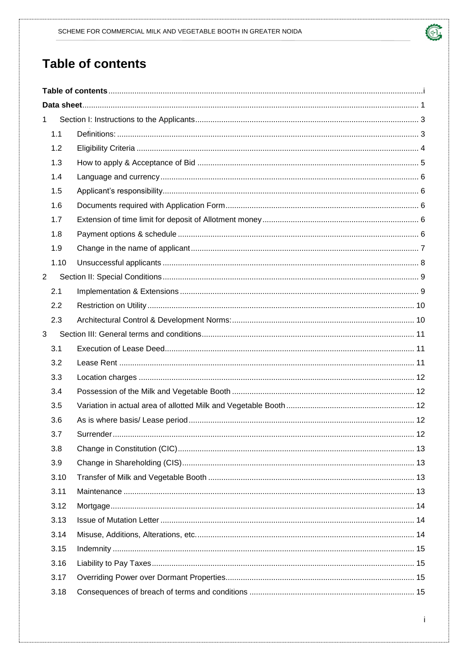# <span id="page-1-0"></span>**Table of contents**

| $\mathbf{1}$   |      |  |  |  |  |
|----------------|------|--|--|--|--|
|                | 1.1  |  |  |  |  |
|                | 1.2  |  |  |  |  |
|                | 1.3  |  |  |  |  |
|                | 1.4  |  |  |  |  |
|                | 1.5  |  |  |  |  |
|                | 1.6  |  |  |  |  |
|                | 1.7  |  |  |  |  |
|                | 1.8  |  |  |  |  |
|                | 1.9  |  |  |  |  |
|                | 1.10 |  |  |  |  |
| $\overline{2}$ |      |  |  |  |  |
|                | 2.1  |  |  |  |  |
|                | 2.2  |  |  |  |  |
|                | 2.3  |  |  |  |  |
| 3              |      |  |  |  |  |
|                | 3.1  |  |  |  |  |
|                | 3.2  |  |  |  |  |
|                | 3.3  |  |  |  |  |
|                | 3.4  |  |  |  |  |
|                | 3.5  |  |  |  |  |
|                | 3.6  |  |  |  |  |
|                | 3.7  |  |  |  |  |
|                | 3.8  |  |  |  |  |
|                | 3.9  |  |  |  |  |
|                | 3.10 |  |  |  |  |
|                | 3.11 |  |  |  |  |
|                | 3.12 |  |  |  |  |
|                | 3.13 |  |  |  |  |
|                | 3.14 |  |  |  |  |
|                | 3.15 |  |  |  |  |
|                | 3.16 |  |  |  |  |
|                | 3.17 |  |  |  |  |
|                | 3.18 |  |  |  |  |

O,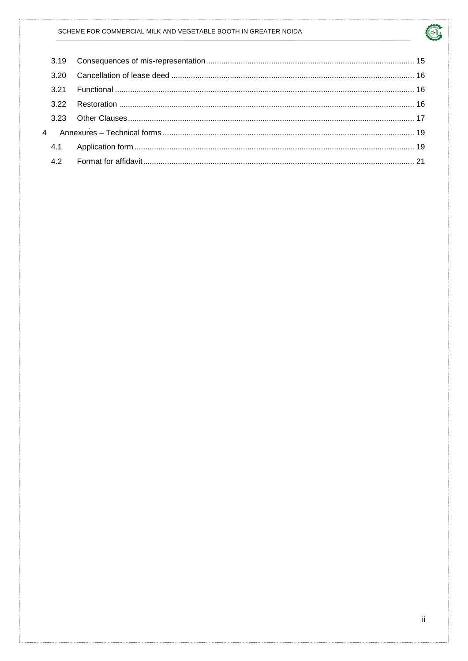#### SCHEME FOR COMMERCIAL MILK AND VEGETABLE BOOTH IN GREATER NOIDA

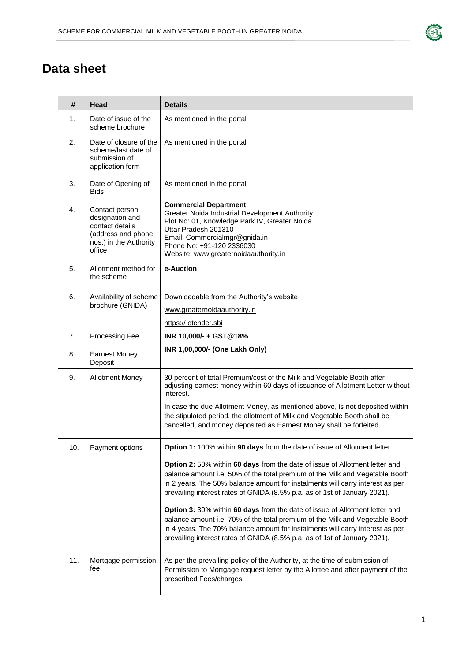# <span id="page-3-0"></span>**Data sheet**

| #   | Head                                                                                                            | <b>Details</b>                                                                                                                                                                                                                                                                                                                                                                                                                                                                                                                                                                                                                                                                                                                      |
|-----|-----------------------------------------------------------------------------------------------------------------|-------------------------------------------------------------------------------------------------------------------------------------------------------------------------------------------------------------------------------------------------------------------------------------------------------------------------------------------------------------------------------------------------------------------------------------------------------------------------------------------------------------------------------------------------------------------------------------------------------------------------------------------------------------------------------------------------------------------------------------|
| 1.  | Date of issue of the<br>scheme brochure                                                                         | As mentioned in the portal                                                                                                                                                                                                                                                                                                                                                                                                                                                                                                                                                                                                                                                                                                          |
| 2.  | Date of closure of the<br>scheme/last date of<br>submission of<br>application form                              | As mentioned in the portal                                                                                                                                                                                                                                                                                                                                                                                                                                                                                                                                                                                                                                                                                                          |
| 3.  | Date of Opening of<br><b>Bids</b>                                                                               | As mentioned in the portal                                                                                                                                                                                                                                                                                                                                                                                                                                                                                                                                                                                                                                                                                                          |
| 4.  | Contact person,<br>designation and<br>contact details<br>(address and phone<br>nos.) in the Authority<br>office | <b>Commercial Department</b><br>Greater Noida Industrial Development Authority<br>Plot No: 01, Knowledge Park IV, Greater Noida<br>Uttar Pradesh 201310<br>Email: Commercialmgr@gnida.in<br>Phone No: +91-120 2336030<br>Website: www.greaternoidaauthority.in                                                                                                                                                                                                                                                                                                                                                                                                                                                                      |
| 5.  | Allotment method for<br>the scheme                                                                              | e-Auction                                                                                                                                                                                                                                                                                                                                                                                                                                                                                                                                                                                                                                                                                                                           |
| 6.  | Availability of scheme<br>brochure (GNIDA)                                                                      | Downloadable from the Authority's website<br>www.greaternoidaauthority.in<br>https:// etender.sbi                                                                                                                                                                                                                                                                                                                                                                                                                                                                                                                                                                                                                                   |
| 7.  | Processing Fee                                                                                                  | INR 10,000/- + GST@18%                                                                                                                                                                                                                                                                                                                                                                                                                                                                                                                                                                                                                                                                                                              |
| 8.  | <b>Earnest Money</b><br>Deposit                                                                                 | INR 1,00,000/- (One Lakh Only)                                                                                                                                                                                                                                                                                                                                                                                                                                                                                                                                                                                                                                                                                                      |
| 9.  | <b>Allotment Money</b>                                                                                          | 30 percent of total Premium/cost of the Milk and Vegetable Booth after<br>adjusting earnest money within 60 days of issuance of Allotment Letter without<br>interest.<br>In case the due Allotment Money, as mentioned above, is not deposited within<br>the stipulated period, the allotment of Milk and Vegetable Booth shall be<br>cancelled, and money deposited as Earnest Money shall be forfeited.                                                                                                                                                                                                                                                                                                                           |
| 10. | Payment options                                                                                                 | Option 1: 100% within 90 days from the date of issue of Allotment letter.<br>Option 2: 50% within 60 days from the date of issue of Allotment letter and<br>balance amount i.e. 50% of the total premium of the Milk and Vegetable Booth<br>in 2 years. The 50% balance amount for instalments will carry interest as per<br>prevailing interest rates of GNIDA (8.5% p.a. as of 1st of January 2021).<br>Option 3: 30% within 60 days from the date of issue of Allotment letter and<br>balance amount i.e. 70% of the total premium of the Milk and Vegetable Booth<br>in 4 years. The 70% balance amount for instalments will carry interest as per<br>prevailing interest rates of GNIDA (8.5% p.a. as of 1st of January 2021). |
| 11. | Mortgage permission<br>fee                                                                                      | As per the prevailing policy of the Authority, at the time of submission of<br>Permission to Mortgage request letter by the Allottee and after payment of the<br>prescribed Fees/charges.                                                                                                                                                                                                                                                                                                                                                                                                                                                                                                                                           |

 $\sqrt{d-1}$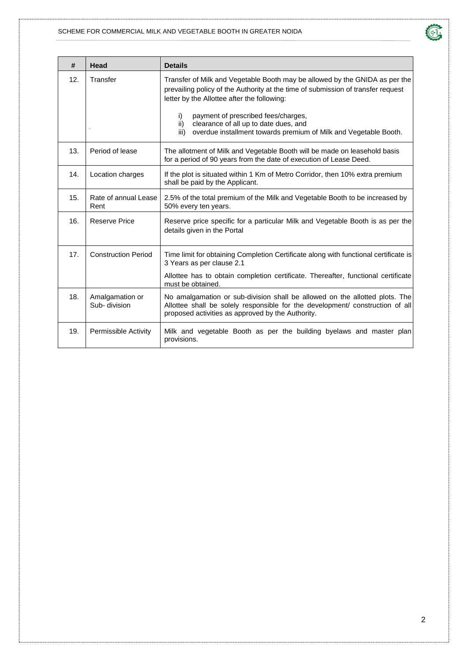#### SCHEME FOR COMMERCIAL MILK AND VEGETABLE BOOTH IN GREATER NOIDA



| #   | Head                             | <b>Details</b>                                                                                                                                                                                                                                                                                                                                                                          |
|-----|----------------------------------|-----------------------------------------------------------------------------------------------------------------------------------------------------------------------------------------------------------------------------------------------------------------------------------------------------------------------------------------------------------------------------------------|
| 12. | Transfer                         | Transfer of Milk and Vegetable Booth may be allowed by the GNIDA as per the<br>prevailing policy of the Authority at the time of submission of transfer request<br>letter by the Allottee after the following:<br>payment of prescribed fees/charges,<br>i)<br>clearance of all up to date dues, and<br>ii)<br>overdue installment towards premium of Milk and Vegetable Booth.<br>iii) |
|     |                                  |                                                                                                                                                                                                                                                                                                                                                                                         |
| 13. | Period of lease                  | The allotment of Milk and Vegetable Booth will be made on leasehold basis<br>for a period of 90 years from the date of execution of Lease Deed.                                                                                                                                                                                                                                         |
| 14. | Location charges                 | If the plot is situated within 1 Km of Metro Corridor, then 10% extra premium<br>shall be paid by the Applicant.                                                                                                                                                                                                                                                                        |
| 15. | Rate of annual Lease<br>Rent     | 2.5% of the total premium of the Milk and Vegetable Booth to be increased by<br>50% every ten years.                                                                                                                                                                                                                                                                                    |
| 16. | Reserve Price                    | Reserve price specific for a particular Milk and Vegetable Booth is as per the<br>details given in the Portal                                                                                                                                                                                                                                                                           |
| 17. | <b>Construction Period</b>       | Time limit for obtaining Completion Certificate along with functional certificate is<br>3 Years as per clause 2.1                                                                                                                                                                                                                                                                       |
|     |                                  | Allottee has to obtain completion certificate. Thereafter, functional certificate<br>must be obtained.                                                                                                                                                                                                                                                                                  |
| 18. | Amalgamation or<br>Sub- division | No amalgamation or sub-division shall be allowed on the allotted plots. The<br>Allottee shall be solely responsible for the development/ construction of all<br>proposed activities as approved by the Authority.                                                                                                                                                                       |
| 19. | Permissible Activity             | Milk and vegetable Booth as per the building byelaws and master plan<br>provisions.                                                                                                                                                                                                                                                                                                     |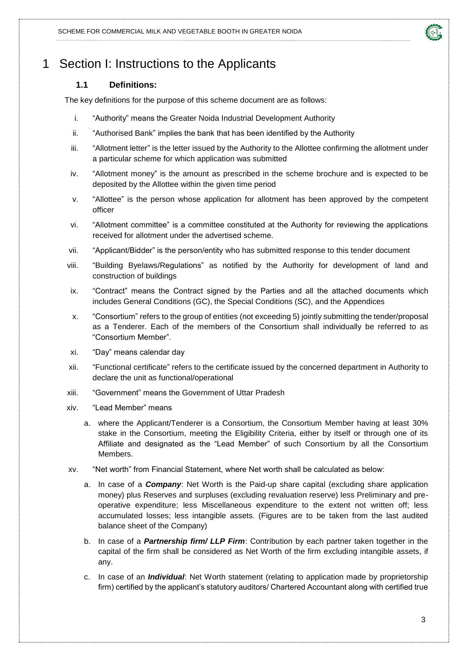

## <span id="page-5-1"></span><span id="page-5-0"></span>1 Section I: Instructions to the Applicants

#### **1.1 Definitions:**

The key definitions for the purpose of this scheme document are as follows:

- i. "Authority" means the Greater Noida Industrial Development Authority
- ii. "Authorised Bank" implies the bank that has been identified by the Authority
- iii. "Allotment letter" is the letter issued by the Authority to the Allottee confirming the allotment under a particular scheme for which application was submitted
- iv. "Allotment money" is the amount as prescribed in the scheme brochure and is expected to be deposited by the Allottee within the given time period
- v. "Allottee" is the person whose application for allotment has been approved by the competent officer
- vi. "Allotment committee" is a committee constituted at the Authority for reviewing the applications received for allotment under the advertised scheme.
- vii. "Applicant/Bidder" is the person/entity who has submitted response to this tender document
- viii. "Building Byelaws/Regulations" as notified by the Authority for development of land and construction of buildings
- ix. "Contract" means the Contract signed by the Parties and all the attached documents which includes General Conditions (GC), the Special Conditions (SC), and the Appendices
- x. "Consortium" refers to the group of entities (not exceeding 5) jointly submitting the tender/proposal as a Tenderer. Each of the members of the Consortium shall individually be referred to as "Consortium Member".
- xi. "Day" means calendar day
- xii. "Functional certificate" refers to the certificate issued by the concerned department in Authority to declare the unit as functional/operational
- xiii. "Government" means the Government of Uttar Pradesh
- xiv. "Lead Member" means
	- a. where the Applicant/Tenderer is a Consortium, the Consortium Member having at least 30% stake in the Consortium, meeting the Eligibility Criteria, either by itself or through one of its Affiliate and designated as the "Lead Member" of such Consortium by all the Consortium Members.
- xv. "Net worth" from Financial Statement, where Net worth shall be calculated as below:
	- a. In case of a *Company*: Net Worth is the Paid-up share capital (excluding share application money) plus Reserves and surpluses (excluding revaluation reserve) less Preliminary and preoperative expenditure; less Miscellaneous expenditure to the extent not written off; less accumulated losses; less intangible assets. (Figures are to be taken from the last audited balance sheet of the Company)
	- b. In case of a *Partnership firm/ LLP Firm*: Contribution by each partner taken together in the capital of the firm shall be considered as Net Worth of the firm excluding intangible assets, if any.
	- c. In case of an *Individual*: Net Worth statement (relating to application made by proprietorship firm) certified by the applicant's statutory auditors/ Chartered Accountant along with certified true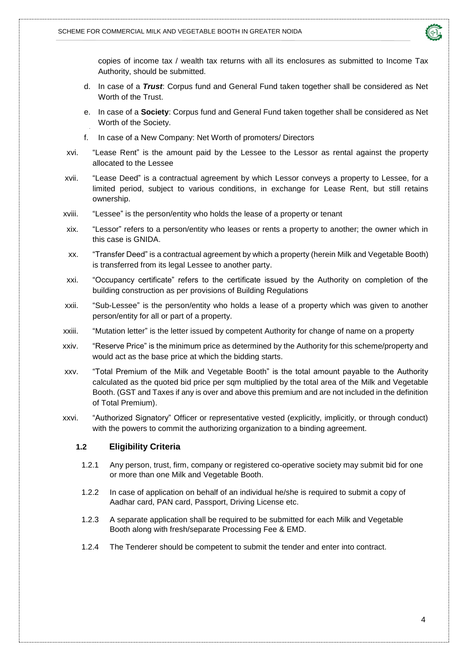

copies of income tax / wealth tax returns with all its enclosures as submitted to Income Tax Authority, should be submitted.

- d. In case of a *Trust*: Corpus fund and General Fund taken together shall be considered as Net Worth of the Trust.
- e. In case of a **Society**: Corpus fund and General Fund taken together shall be considered as Net Worth of the Society.
- f. In case of a New Company: Net Worth of promoters/ Directors
- xvi. "Lease Rent" is the amount paid by the Lessee to the Lessor as rental against the property allocated to the Lessee
- xvii. "Lease Deed" is a contractual agreement by which Lessor conveys a property to Lessee, for a limited period, subject to various conditions, in exchange for Lease Rent, but still retains ownership.
- xviii. "Lessee" is the person/entity who holds the lease of a property or tenant
- xix. "Lessor" refers to a person/entity who leases or rents a property to another; the owner which in this case is GNIDA.
- xx. "Transfer Deed" is a contractual agreement by which a property (herein Milk and Vegetable Booth) is transferred from its legal Lessee to another party.
- xxi. "Occupancy certificate" refers to the certificate issued by the Authority on completion of the building construction as per provisions of Building Regulations
- xxii. "Sub-Lessee" is the person/entity who holds a lease of a property which was given to another person/entity for all or part of a property.
- xxiii. "Mutation letter" is the letter issued by competent Authority for change of name on a property
- xxiv. "Reserve Price" is the minimum price as determined by the Authority for this scheme/property and would act as the base price at which the bidding starts.
- xxv. "Total Premium of the Milk and Vegetable Booth" is the total amount payable to the Authority calculated as the quoted bid price per sqm multiplied by the total area of the Milk and Vegetable Booth. (GST and Taxes if any is over and above this premium and are not included in the definition of Total Premium).
- <span id="page-6-0"></span>xxvi. "Authorized Signatory" Officer or representative vested (explicitly, implicitly, or through conduct) with the powers to commit the authorizing organization to a binding agreement.

#### **1.2 Eligibility Criteria**

- 1.2.1 Any person, trust, firm, company or registered co-operative society may submit bid for one or more than one Milk and Vegetable Booth.
- 1.2.2 In case of application on behalf of an individual he/she is required to submit a copy of Aadhar card, PAN card, Passport, Driving License etc.
- 1.2.3 A separate application shall be required to be submitted for each Milk and Vegetable Booth along with fresh/separate Processing Fee & EMD.
- 1.2.4 The Tenderer should be competent to submit the tender and enter into contract.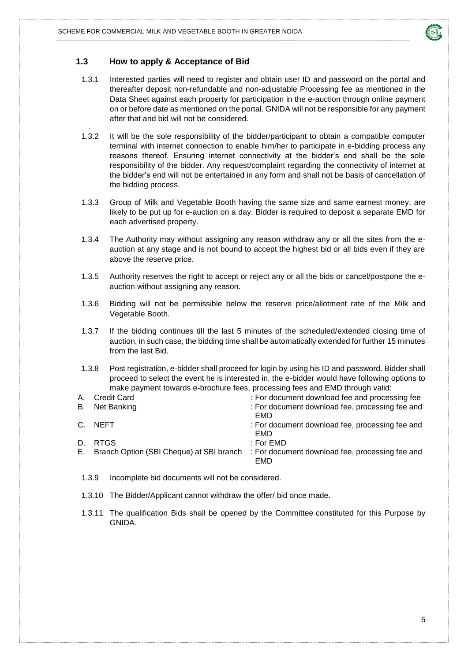

#### <span id="page-7-0"></span>**1.3 How to apply & Acceptance of Bid**

- 1.3.1 Interested parties will need to register and obtain user ID and password on the portal and thereafter deposit non-refundable and non-adjustable Processing fee as mentioned in the Data Sheet against each property for participation in the e-auction through online payment on or before date as mentioned on the portal. GNIDA will not be responsible for any payment after that and bid will not be considered.
- 1.3.2 It will be the sole responsibility of the bidder/participant to obtain a compatible computer terminal with internet connection to enable him/her to participate in e-bidding process any reasons thereof. Ensuring internet connectivity at the bidder's end shall be the sole responsibility of the bidder. Any request/complaint regarding the connectivity of internet at the bidder's end will not be entertained in any form and shall not be basis of cancellation of the bidding process.
- 1.3.3 Group of Milk and Vegetable Booth having the same size and same earnest money, are likely to be put up for e-auction on a day. Bidder is required to deposit a separate EMD for each advertised property.
- 1.3.4 The Authority may without assigning any reason withdraw any or all the sites from the eauction at any stage and is not bound to accept the highest bid or all bids even if they are above the reserve price.
- 1.3.5 Authority reserves the right to accept or reject any or all the bids or cancel/postpone the eauction without assigning any reason.
- 1.3.6 Bidding will not be permissible below the reserve price/allotment rate of the Milk and Vegetable Booth.
- 1.3.7 If the bidding continues till the last 5 minutes of the scheduled/extended closing time of auction, in such case, the bidding time shall be automatically extended for further 15 minutes from the last Bid.
- 1.3.8 Post registration, e-bidder shall proceed for login by using his ID and password. Bidder shall proceed to select the event he is interested in. the e-bidder would have following options to make payment towards e-brochure fees, processing fees and EMD through valid:

|    | A. Credit Card                           | : For document download fee and processing fee         |
|----|------------------------------------------|--------------------------------------------------------|
|    | B. Net Banking                           | : For document download fee, processing fee and<br>EMD |
|    | C. NEFT                                  | : For document download fee, processing fee and<br>EMD |
| D. | <b>RTGS</b>                              | : For $EMD$                                            |
| Е. | Branch Option (SBI Cheque) at SBI branch | : For document download fee, processing fee and<br>EMD |

- 1.3.9 Incomplete bid documents will not be considered.
- 1.3.10 The Bidder/Applicant cannot withdraw the offer/ bid once made.
- 1.3.11 The qualification Bids shall be opened by the Committee constituted for this Purpose by GNIDA.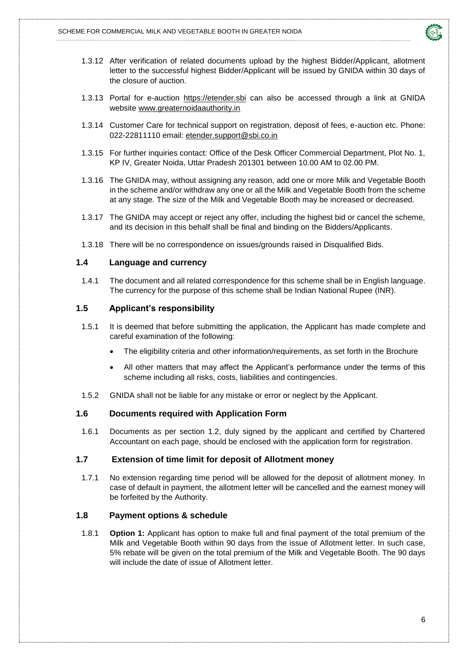

- 1.3.12 After verification of related documents upload by the highest Bidder/Applicant, allotment letter to the successful highest Bidder/Applicant will be issued by GNIDA within 30 days of the closure of auction.
- 1.3.13 Portal for e-auction [https://etender.sbi](https://etender.sbi/) can also be accessed through a link at GNIDA website [www.greaternoidaauthority.in](http://www.greaternoidaauthority.in/)
- 1.3.14 Customer Care for technical support on registration, deposit of fees, e-auction etc. Phone: 022-22811110 email: [etender.support@sbi.co.in](mailto:etender.support@sbi.co.in)
- 1.3.15 For further inquiries contact: Office of the Desk Officer Commercial Department, Plot No. 1, KP IV, Greater Noida, Uttar Pradesh 201301 between 10.00 AM to 02.00 PM.
- 1.3.16 The GNIDA may, without assigning any reason, add one or more Milk and Vegetable Booth in the scheme and/or withdraw any one or all the Milk and Vegetable Booth from the scheme at any stage. The size of the Milk and Vegetable Booth may be increased or decreased.
- 1.3.17 The GNIDA may accept or reject any offer, including the highest bid or cancel the scheme, and its decision in this behalf shall be final and binding on the Bidders/Applicants.
- 1.3.18 There will be no correspondence on issues/grounds raised in Disqualified Bids.

#### <span id="page-8-0"></span>**1.4 Language and currency**

1.4.1 The document and all related correspondence for this scheme shall be in English language. The currency for the purpose of this scheme shall be Indian National Rupee (INR).

#### <span id="page-8-1"></span>**1.5 Applicant's responsibility**

- 1.5.1 It is deemed that before submitting the application, the Applicant has made complete and careful examination of the following:
	- The eligibility criteria and other information/requirements, as set forth in the Brochure
	- All other matters that may affect the Applicant's performance under the terms of this scheme including all risks, costs, liabilities and contingencies.
- 1.5.2 GNIDA shall not be liable for any mistake or error or neglect by the Applicant.

#### <span id="page-8-2"></span>**1.6 Documents required with Application Form**

1.6.1 Documents as per section 1.2, duly signed by the applicant and certified by Chartered Accountant on each page, should be enclosed with the application form for registration.

#### <span id="page-8-3"></span>**1.7 Extension of time limit for deposit of Allotment money**

1.7.1 No extension regarding time period will be allowed for the deposit of allotment money. In case of default in payment, the allotment letter will be cancelled and the earnest money will be forfeited by the Authority.

#### <span id="page-8-4"></span>**1.8 Payment options & schedule**

1.8.1 **Option 1:** Applicant has option to make full and final payment of the total premium of the Milk and Vegetable Booth within 90 days from the issue of Allotment letter. In such case, 5% rebate will be given on the total premium of the Milk and Vegetable Booth. The 90 days will include the date of issue of Allotment letter.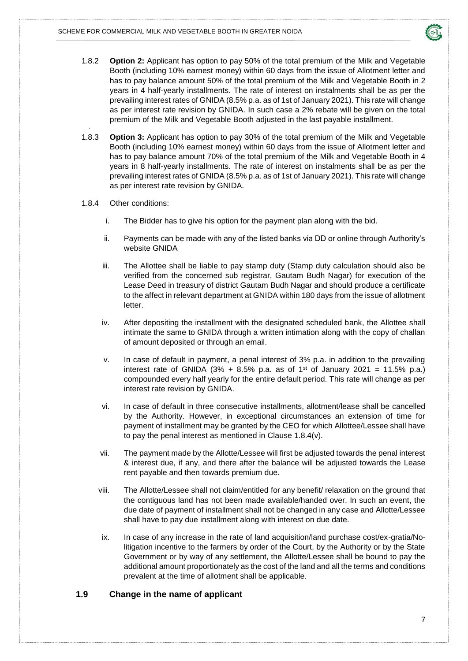

- 1.8.2 **Option 2:** Applicant has option to pay 50% of the total premium of the Milk and Vegetable Booth (including 10% earnest money) within 60 days from the issue of Allotment letter and has to pay balance amount 50% of the total premium of the Milk and Vegetable Booth in 2 years in 4 half-yearly installments. The rate of interest on instalments shall be as per the prevailing interest rates of GNIDA (8.5% p.a. as of 1st of January 2021). This rate will change as per interest rate revision by GNIDA. In such case a 2% rebate will be given on the total premium of the Milk and Vegetable Booth adjusted in the last payable installment.
- 1.8.3 **Option 3:** Applicant has option to pay 30% of the total premium of the Milk and Vegetable Booth (including 10% earnest money) within 60 days from the issue of Allotment letter and has to pay balance amount 70% of the total premium of the Milk and Vegetable Booth in 4 years in 8 half-yearly installments. The rate of interest on instalments shall be as per the prevailing interest rates of GNIDA (8.5% p.a. as of 1st of January 2021). This rate will change as per interest rate revision by GNIDA.
- 1.8.4 Other conditions:
	- i. The Bidder has to give his option for the payment plan along with the bid.
	- ii. Payments can be made with any of the listed banks via DD or online through Authority's website GNIDA
	- iii. The Allottee shall be liable to pay stamp duty (Stamp duty calculation should also be verified from the concerned sub registrar, Gautam Budh Nagar) for execution of the Lease Deed in treasury of district Gautam Budh Nagar and should produce a certificate to the affect in relevant department at GNIDA within 180 days from the issue of allotment letter.
	- iv. After depositing the installment with the designated scheduled bank, the Allottee shall intimate the same to GNIDA through a written intimation along with the copy of challan of amount deposited or through an email.
	- v. In case of default in payment, a penal interest of 3% p.a. in addition to the prevailing interest rate of GNIDA (3% + 8.5% p.a. as of  $1<sup>st</sup>$  of January 2021 = 11.5% p.a.) compounded every half yearly for the entire default period. This rate will change as per interest rate revision by GNIDA.
	- vi. In case of default in three consecutive installments, allotment/lease shall be cancelled by the Authority. However, in exceptional circumstances an extension of time for payment of installment may be granted by the CEO for which Allottee/Lessee shall have to pay the penal interest as mentioned in Clause 1.8.4(v).
	- vii. The payment made by the Allotte/Lessee will first be adjusted towards the penal interest & interest due, if any, and there after the balance will be adjusted towards the Lease rent payable and then towards premium due.
	- viii. The Allotte/Lessee shall not claim/entitled for any benefit/ relaxation on the ground that the contiguous land has not been made available/handed over. In such an event, the due date of payment of installment shall not be changed in any case and Allotte/Lessee shall have to pay due installment along with interest on due date.
	- ix. In case of any increase in the rate of land acquisition/land purchase cost/ex-gratia/Nolitigation incentive to the farmers by order of the Court, by the Authority or by the State Government or by way of any settlement, the Allotte/Lessee shall be bound to pay the additional amount proportionately as the cost of the land and all the terms and conditions prevalent at the time of allotment shall be applicable.

#### <span id="page-9-0"></span>**1.9 Change in the name of applicant**

7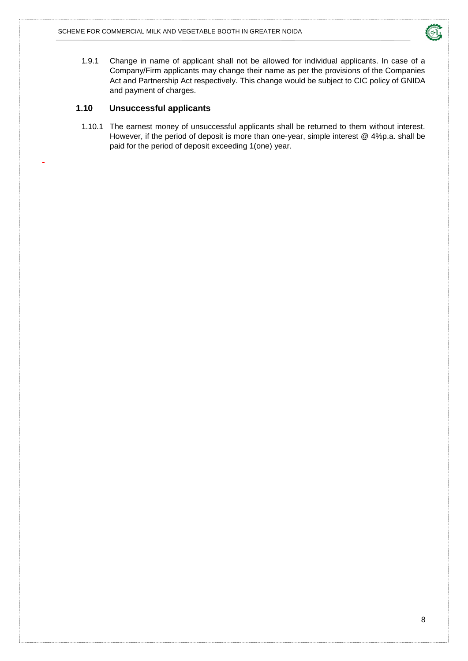

1.9.1 Change in name of applicant shall not be allowed for individual applicants. In case of a Company/Firm applicants may change their name as per the provisions of the Companies Act and Partnership Act respectively. This change would be subject to CIC policy of GNIDA and payment of charges.

#### <span id="page-10-0"></span>**1.10 Unsuccessful applicants**

1.10.1 The earnest money of unsuccessful applicants shall be returned to them without interest. However, if the period of deposit is more than one-year, simple interest @ 4%p.a. shall be paid for the period of deposit exceeding 1(one) year.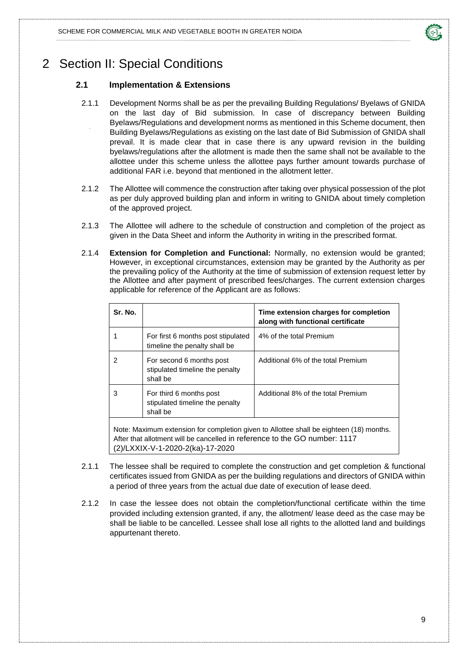

### <span id="page-11-1"></span><span id="page-11-0"></span>2 Section II: Special Conditions

#### **2.1 Implementation & Extensions**

- 2.1.1 Development Norms shall be as per the prevailing Building Regulations/ Byelaws of GNIDA on the last day of Bid submission. In case of discrepancy between Building Byelaws/Regulations and development norms as mentioned in this Scheme document, then Building Byelaws/Regulations as existing on the last date of Bid Submission of GNIDA shall prevail. It is made clear that in case there is any upward revision in the building byelaws/regulations after the allotment is made then the same shall not be available to the allottee under this scheme unless the allottee pays further amount towards purchase of additional FAR i.e. beyond that mentioned in the allotment letter.
- 2.1.2 The Allottee will commence the construction after taking over physical possession of the plot as per duly approved building plan and inform in writing to GNIDA about timely completion of the approved project.
- 2.1.3 The Allottee will adhere to the schedule of construction and completion of the project as given in the Data Sheet and inform the Authority in writing in the prescribed format.
- 2.1.4 **Extension for Completion and Functional:** Normally, no extension would be granted; However, in exceptional circumstances, extension may be granted by the Authority as per the prevailing policy of the Authority at the time of submission of extension request letter by the Allottee and after payment of prescribed fees/charges. The current extension charges applicable for reference of the Applicant are as follows:

| Sr. No.                                                                                                                                                                                                   |                                                                         | Time extension charges for completion<br>along with functional certificate |
|-----------------------------------------------------------------------------------------------------------------------------------------------------------------------------------------------------------|-------------------------------------------------------------------------|----------------------------------------------------------------------------|
|                                                                                                                                                                                                           | For first 6 months post stipulated<br>timeline the penalty shall be     | 4% of the total Premium                                                    |
| 2                                                                                                                                                                                                         | For second 6 months post<br>stipulated timeline the penalty<br>shall be | Additional 6% of the total Premium                                         |
| For third 6 months post<br>3<br>stipulated timeline the penalty<br>shall be                                                                                                                               |                                                                         | Additional 8% of the total Premium                                         |
| Note: Maximum extension for completion given to Allottee shall be eighteen (18) months.<br>After that allotment will be cancelled in reference to the GO number: 1117<br>(2)/LXXIX-V-1-2020-2(ka)-17-2020 |                                                                         |                                                                            |

- 2.1.1 The lessee shall be required to complete the construction and get completion & functional certificates issued from GNIDA as per the building regulations and directors of GNIDA within a period of three years from the actual due date of execution of lease deed.
- 2.1.2 In case the lessee does not obtain the completion/functional certificate within the time provided including extension granted, if any, the allotment/ lease deed as the case may be shall be liable to be cancelled. Lessee shall lose all rights to the allotted land and buildings appurtenant thereto.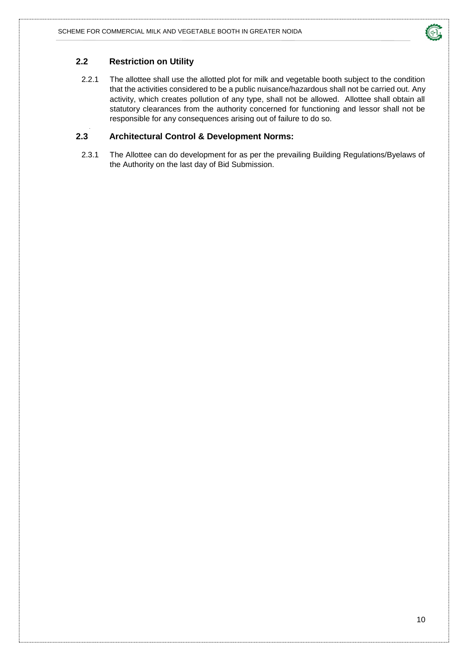

#### <span id="page-12-0"></span>**2.2 Restriction on Utility**

2.2.1 The allottee shall use the allotted plot for milk and vegetable booth subject to the condition that the activities considered to be a public nuisance/hazardous shall not be carried out. Any activity, which creates pollution of any type, shall not be allowed. Allottee shall obtain all statutory clearances from the authority concerned for functioning and lessor shall not be responsible for any consequences arising out of failure to do so.

#### <span id="page-12-1"></span>**2.3 Architectural Control & Development Norms:**

2.3.1 The Allottee can do development for as per the prevailing Building Regulations/Byelaws of the Authority on the last day of Bid Submission.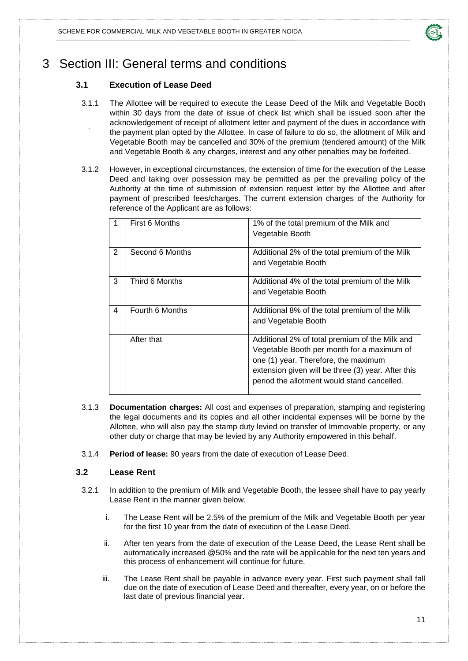

# <span id="page-13-1"></span><span id="page-13-0"></span>3 Section III: General terms and conditions

### **3.1 Execution of Lease Deed**

- 3.1.1 The Allottee will be required to execute the Lease Deed of the Milk and Vegetable Booth within 30 days from the date of issue of check list which shall be issued soon after the acknowledgement of receipt of allotment letter and payment of the dues in accordance with the payment plan opted by the Allottee. In case of failure to do so, the allotment of Milk and Vegetable Booth may be cancelled and 30% of the premium (tendered amount) of the Milk and Vegetable Booth & any charges, interest and any other penalties may be forfeited.
- 3.1.2 However, in exceptional circumstances, the extension of time for the execution of the Lease Deed and taking over possession may be permitted as per the prevailing policy of the Authority at the time of submission of extension request letter by the Allottee and after payment of prescribed fees/charges. The current extension charges of the Authority for reference of the Applicant are as follows:

| 1              | First 6 Months  | 1% of the total premium of the Milk and<br>Vegetable Booth                                                                                                                                                                                |
|----------------|-----------------|-------------------------------------------------------------------------------------------------------------------------------------------------------------------------------------------------------------------------------------------|
| 2              | Second 6 Months | Additional 2% of the total premium of the Milk<br>and Vegetable Booth                                                                                                                                                                     |
| 3              | Third 6 Months  | Additional 4% of the total premium of the Milk<br>and Vegetable Booth                                                                                                                                                                     |
| $\overline{4}$ | Fourth 6 Months | Additional 8% of the total premium of the Milk<br>and Vegetable Booth                                                                                                                                                                     |
|                | After that      | Additional 2% of total premium of the Milk and<br>Vegetable Booth per month for a maximum of<br>one (1) year. Therefore, the maximum<br>extension given will be three (3) year. After this<br>period the allotment would stand cancelled. |

- 3.1.3 **Documentation charges:** All cost and expenses of preparation, stamping and registering the legal documents and its copies and all other incidental expenses will be borne by the Allottee, who will also pay the stamp duty levied on transfer of Immovable property, or any other duty or charge that may be levied by any Authority empowered in this behalf.
- 3.1.4 **Period of lease:** 90 years from the date of execution of Lease Deed.

#### <span id="page-13-2"></span>**3.2 Lease Rent**

- 3.2.1 In addition to the premium of Milk and Vegetable Booth, the lessee shall have to pay yearly Lease Rent in the manner given below.
	- i. The Lease Rent will be 2.5% of the premium of the Milk and Vegetable Booth per year for the first 10 year from the date of execution of the Lease Deed.
	- ii. After ten years from the date of execution of the Lease Deed, the Lease Rent shall be automatically increased @50% and the rate will be applicable for the next ten years and this process of enhancement will continue for future.
	- iii. The Lease Rent shall be payable in advance every year. First such payment shall fall due on the date of execution of Lease Deed and thereafter, every year, on or before the last date of previous financial year.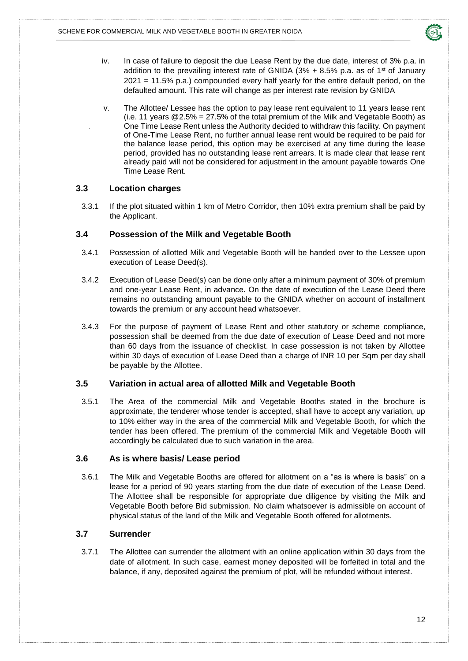

- iv. In case of failure to deposit the due Lease Rent by the due date, interest of 3% p.a. in addition to the prevailing interest rate of GNIDA ( $3\%$  +  $8.5\%$  p.a. as of  $1\text{st}$  of January 2021 = 11.5% p.a.) compounded every half yearly for the entire default period, on the defaulted amount. This rate will change as per interest rate revision by GNIDA
- v. The Allottee/ Lessee has the option to pay lease rent equivalent to 11 years lease rent (i.e. 11 years  $@2.5\% = 27.5\%$  of the total premium of the Milk and Vegetable Booth) as One Time Lease Rent unless the Authority decided to withdraw this facility. On payment of One-Time Lease Rent, no further annual lease rent would be required to be paid for the balance lease period, this option may be exercised at any time during the lease period, provided has no outstanding lease rent arrears. It is made clear that lease rent already paid will not be considered for adjustment in the amount payable towards One Time Lease Rent.

#### <span id="page-14-0"></span>**3.3 Location charges**

3.3.1 If the plot situated within 1 km of Metro Corridor, then 10% extra premium shall be paid by the Applicant.

#### <span id="page-14-1"></span>**3.4 Possession of the Milk and Vegetable Booth**

- 3.4.1 Possession of allotted Milk and Vegetable Booth will be handed over to the Lessee upon execution of Lease Deed(s).
- 3.4.2 Execution of Lease Deed(s) can be done only after a minimum payment of 30% of premium and one-year Lease Rent, in advance. On the date of execution of the Lease Deed there remains no outstanding amount payable to the GNIDA whether on account of installment towards the premium or any account head whatsoever.
- 3.4.3 For the purpose of payment of Lease Rent and other statutory or scheme compliance, possession shall be deemed from the due date of execution of Lease Deed and not more than 60 days from the issuance of checklist. In case possession is not taken by Allottee within 30 days of execution of Lease Deed than a charge of INR 10 per Sqm per day shall be payable by the Allottee.

#### <span id="page-14-2"></span>**3.5 Variation in actual area of allotted Milk and Vegetable Booth**

3.5.1 The Area of the commercial Milk and Vegetable Booths stated in the brochure is approximate, the tenderer whose tender is accepted, shall have to accept any variation, up to 10% either way in the area of the commercial Milk and Vegetable Booth, for which the tender has been offered. The premium of the commercial Milk and Vegetable Booth will accordingly be calculated due to such variation in the area.

#### <span id="page-14-3"></span>**3.6 As is where basis/ Lease period**

3.6.1 The Milk and Vegetable Booths are offered for allotment on a "as is where is basis" on a lease for a period of 90 years starting from the due date of execution of the Lease Deed. The Allottee shall be responsible for appropriate due diligence by visiting the Milk and Vegetable Booth before Bid submission. No claim whatsoever is admissible on account of physical status of the land of the Milk and Vegetable Booth offered for allotments.

#### <span id="page-14-4"></span>**3.7 Surrender**

3.7.1 The Allottee can surrender the allotment with an online application within 30 days from the date of allotment. In such case, earnest money deposited will be forfeited in total and the balance, if any, deposited against the premium of plot, will be refunded without interest.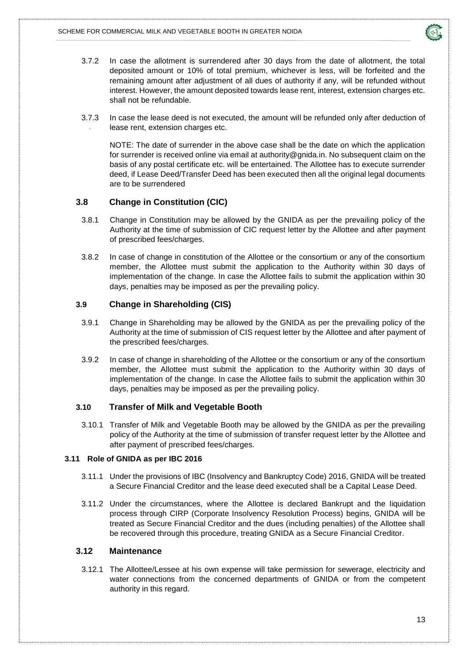

- 3.7.2 In case the allotment is surrendered after 30 days from the date of allotment, the total deposited amount or 10% of total premium, whichever is less, will be forfeited and the remaining amount after adjustment of all dues of authority if any, will be refunded without interest. However, the amount deposited towards lease rent, interest, extension charges etc. shall not be refundable.
- 3.7.3 In case the lease deed is not executed, the amount will be refunded only after deduction of lease rent, extension charges etc.

NOTE: The date of surrender in the above case shall be the date on which the application for surrender is received online via email at [authority@gnida.in.](mailto:authority@gnida.in) No subsequent claim on the basis of any postal certificate etc. will be entertained. The Allottee has to execute surrender deed, if Lease Deed/Transfer Deed has been executed then all the original legal documents are to be surrendered

#### <span id="page-15-0"></span>**3.8 Change in Constitution (CIC)**

- 3.8.1 Change in Constitution may be allowed by the GNIDA as per the prevailing policy of the Authority at the time of submission of CIC request letter by the Allottee and after payment of prescribed fees/charges.
- 3.8.2 In case of change in constitution of the Allottee or the consortium or any of the consortium member, the Allottee must submit the application to the Authority within 30 days of implementation of the change. In case the Allottee fails to submit the application within 30 days, penalties may be imposed as per the prevailing policy.

#### <span id="page-15-1"></span>**3.9 Change in Shareholding (CIS)**

- 3.9.1 Change in Shareholding may be allowed by the GNIDA as per the prevailing policy of the Authority at the time of submission of CIS request letter by the Allottee and after payment of the prescribed fees/charges.
- 3.9.2 In case of change in shareholding of the Allottee or the consortium or any of the consortium member, the Allottee must submit the application to the Authority within 30 days of implementation of the change. In case the Allottee fails to submit the application within 30 days, penalties may be imposed as per the prevailing policy.

#### <span id="page-15-2"></span>**3.10 Transfer of Milk and Vegetable Booth**

3.10.1 Transfer of Milk and Vegetable Booth may be allowed by the GNIDA as per the prevailing policy of the Authority at the time of submission of transfer request letter by the Allottee and after payment of prescribed fees/charges.

#### <span id="page-15-3"></span>**3.11 Role of GNIDA as per IBC 2016**

- 3.11.1 Under the provisions of IBC (Insolvency and Bankruptcy Code) 2016, GNIDA will be treated a Secure Financial Creditor and the lease deed executed shall be a Capital Lease Deed.
- 3.11.2 Under the circumstances, where the Allottee is declared Bankrupt and the liquidation process through CIRP (Corporate Insolvency Resolution Process) begins, GNIDA will be treated as Secure Financial Creditor and the dues (including penalties) of the Allottee shall be recovered through this procedure, treating GNIDA as a Secure Financial Creditor.

#### **3.12 Maintenance**

3.12.1 The Allottee/Lessee at his own expense will take permission for sewerage, electricity and water connections from the concerned departments of GNIDA or from the competent authority in this regard.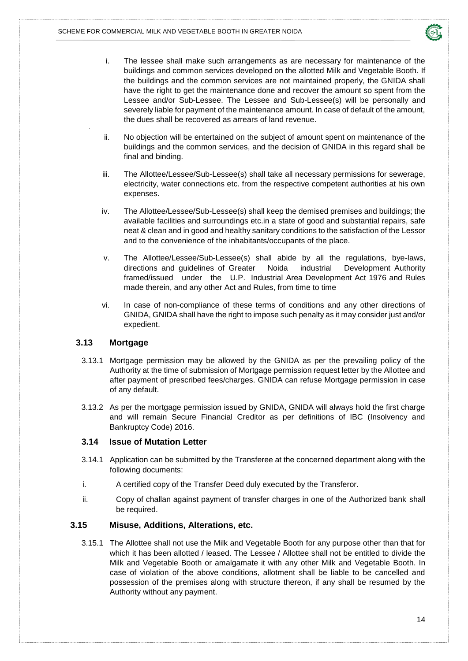

- i. The lessee shall make such arrangements as are necessary for maintenance of the buildings and common services developed on the allotted Milk and Vegetable Booth. If the buildings and the common services are not maintained properly, the GNIDA shall have the right to get the maintenance done and recover the amount so spent from the Lessee and/or Sub-Lessee. The Lessee and Sub-Lessee(s) will be personally and severely liable for payment of the maintenance amount. In case of default of the amount, the dues shall be recovered as arrears of land revenue.
- ii. No objection will be entertained on the subject of amount spent on maintenance of the buildings and the common services, and the decision of GNIDA in this regard shall be final and binding.
- iii. The Allottee/Lessee/Sub-Lessee(s) shall take all necessary permissions for sewerage, electricity, water connections etc. from the respective competent authorities at his own expenses.
- iv. The Allottee/Lessee/Sub-Lessee(s) shall keep the demised premises and buildings; the available facilities and surroundings etc.in a state of good and substantial repairs, safe neat & clean and in good and healthy sanitary conditions to the satisfaction of the Lessor and to the convenience of the inhabitants/occupants of the place.
- v. The Allottee/Lessee/Sub-Lessee(s) shall abide by all the regulations, bye-laws, directions and guidelines of Greater Noida industrial Development Authority framed/issued under the U.P. Industrial Area Development Act 1976 and Rules made therein, and any other Act and Rules, from time to time
- vi. In case of non-compliance of these terms of conditions and any other directions of GNIDA, GNIDA shall have the right to impose such penalty as it may consider just and/or expedient.

#### <span id="page-16-0"></span>**3.13 Mortgage**

- 3.13.1 Mortgage permission may be allowed by the GNIDA as per the prevailing policy of the Authority at the time of submission of Mortgage permission request letter by the Allottee and after payment of prescribed fees/charges. GNIDA can refuse Mortgage permission in case of any default.
- 3.13.2 As per the mortgage permission issued by GNIDA, GNIDA will always hold the first charge and will remain Secure Financial Creditor as per definitions of IBC (Insolvency and Bankruptcy Code) 2016.

#### <span id="page-16-1"></span>**3.14 Issue of Mutation Letter**

- 3.14.1 Application can be submitted by the Transferee at the concerned department along with the following documents:
- i. A certified copy of the Transfer Deed duly executed by the Transferor.
- ii. Copy of challan against payment of transfer charges in one of the Authorized bank shall be required.

#### <span id="page-16-2"></span>**3.15 Misuse, Additions, Alterations, etc.**

3.15.1 The Allottee shall not use the Milk and Vegetable Booth for any purpose other than that for which it has been allotted / leased. The Lessee / Allottee shall not be entitled to divide the Milk and Vegetable Booth or amalgamate it with any other Milk and Vegetable Booth. In case of violation of the above conditions, allotment shall be liable to be cancelled and possession of the premises along with structure thereon, if any shall be resumed by the Authority without any payment.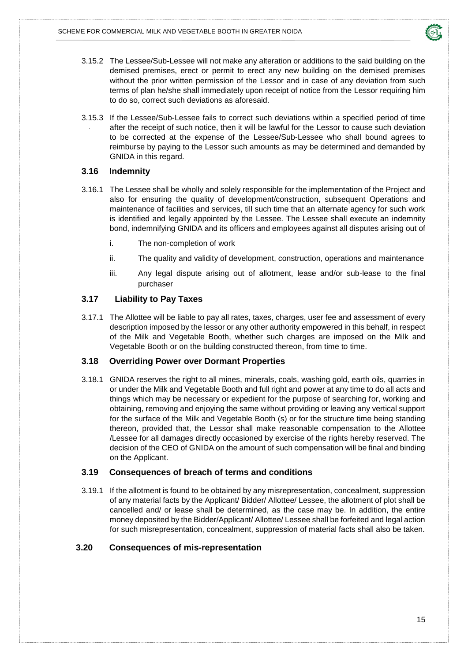

- 3.15.2 The Lessee/Sub-Lessee will not make any alteration or additions to the said building on the demised premises, erect or permit to erect any new building on the demised premises without the prior written permission of the Lessor and in case of any deviation from such terms of plan he/she shall immediately upon receipt of notice from the Lessor requiring him to do so, correct such deviations as aforesaid.
- 3.15.3 If the Lessee/Sub-Lessee fails to correct such deviations within a specified period of time after the receipt of such notice, then it will be lawful for the Lessor to cause such deviation to be corrected at the expense of the Lessee/Sub-Lessee who shall bound agrees to reimburse by paying to the Lessor such amounts as may be determined and demanded by GNIDA in this regard.

#### <span id="page-17-0"></span>**3.16 Indemnity**

- 3.16.1 The Lessee shall be wholly and solely responsible for the implementation of the Project and also for ensuring the quality of development/construction, subsequent Operations and maintenance of facilities and services, till such time that an alternate agency for such work is identified and legally appointed by the Lessee. The Lessee shall execute an indemnity bond, indemnifying GNIDA and its officers and employees against all disputes arising out of
	- i. The non-completion of work
	- ii. The quality and validity of development, construction, operations and maintenance
	- iii. Any legal dispute arising out of allotment, lease and/or sub-lease to the final purchaser

#### <span id="page-17-1"></span>**3.17 Liability to Pay Taxes**

3.17.1 The Allottee will be liable to pay all rates, taxes, charges, user fee and assessment of every description imposed by the lessor or any other authority empowered in this behalf, in respect of the Milk and Vegetable Booth, whether such charges are imposed on the Milk and Vegetable Booth or on the building constructed thereon, from time to time.

#### <span id="page-17-2"></span>**3.18 Overriding Power over Dormant Properties**

3.18.1 GNIDA reserves the right to all mines, minerals, coals, washing gold, earth oils, quarries in or under the Milk and Vegetable Booth and full right and power at any time to do all acts and things which may be necessary or expedient for the purpose of searching for, working and obtaining, removing and enjoying the same without providing or leaving any vertical support for the surface of the Milk and Vegetable Booth (s) or for the structure time being standing thereon, provided that, the Lessor shall make reasonable compensation to the Allottee /Lessee for all damages directly occasioned by exercise of the rights hereby reserved. The decision of the CEO of GNIDA on the amount of such compensation will be final and binding on the Applicant.

#### <span id="page-17-3"></span>**3.19 Consequences of breach of terms and conditions**

3.19.1 If the allotment is found to be obtained by any misrepresentation, concealment, suppression of any material facts by the Applicant/ Bidder/ Allottee/ Lessee, the allotment of plot shall be cancelled and/ or lease shall be determined, as the case may be. In addition, the entire money deposited by the Bidder/Applicant/ Allottee/ Lessee shall be forfeited and legal action for such misrepresentation, concealment, suppression of material facts shall also be taken.

#### <span id="page-17-4"></span>**3.20 Consequences of mis-representation**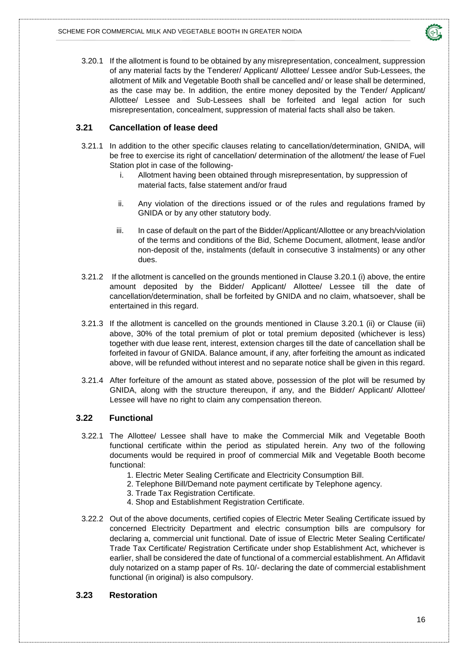

3.20.1 If the allotment is found to be obtained by any misrepresentation, concealment, suppression of any material facts by the Tenderer/ Applicant/ Allottee/ Lessee and/or Sub-Lessees, the allotment of Milk and Vegetable Booth shall be cancelled and/ or lease shall be determined, as the case may be. In addition, the entire money deposited by the Tender/ Applicant/ Allottee/ Lessee and Sub-Lessees shall be forfeited and legal action for such misrepresentation, concealment, suppression of material facts shall also be taken.

#### <span id="page-18-0"></span>**3.21 Cancellation of lease deed**

- 3.21.1 In addition to the other specific clauses relating to cancellation/determination, GNIDA, will be free to exercise its right of cancellation/ determination of the allotment/ the lease of Fuel Station plot in case of the following
	- i. Allotment having been obtained through misrepresentation, by suppression of material facts, false statement and/or fraud
	- ii. Any violation of the directions issued or of the rules and regulations framed by GNIDA or by any other statutory body.
	- iii. In case of default on the part of the Bidder/Applicant/Allottee or any breach/violation of the terms and conditions of the Bid, Scheme Document, allotment, lease and/or non-deposit of the, instalments (default in consecutive 3 instalments) or any other dues.
- 3.21.2 If the allotment is cancelled on the grounds mentioned in Clause 3.20.1 (i) above, the entire amount deposited by the Bidder/ Applicant/ Allottee/ Lessee till the date of cancellation/determination, shall be forfeited by GNIDA and no claim, whatsoever, shall be entertained in this regard.
- 3.21.3 If the allotment is cancelled on the grounds mentioned in Clause 3.20.1 (ii) or Clause (iii) above, 30% of the total premium of plot or total premium deposited (whichever is less) together with due lease rent, interest, extension charges till the date of cancellation shall be forfeited in favour of GNIDA. Balance amount, if any, after forfeiting the amount as indicated above, will be refunded without interest and no separate notice shall be given in this regard.
- 3.21.4 After forfeiture of the amount as stated above, possession of the plot will be resumed by GNIDA, along with the structure thereupon, if any, and the Bidder/ Applicant/ Allottee/ Lessee will have no right to claim any compensation thereon.

#### <span id="page-18-1"></span>**3.22 Functional**

- 3.22.1 The Allottee/ Lessee shall have to make the Commercial Milk and Vegetable Booth functional certificate within the period as stipulated herein. Any two of the following documents would be required in proof of commercial Milk and Vegetable Booth become functional:
	- 1. Electric Meter Sealing Certificate and Electricity Consumption Bill.
	- 2. Telephone Bill/Demand note payment certificate by Telephone agency.
	- 3. Trade Tax Registration Certificate.
	- 4. Shop and Establishment Registration Certificate.
- 3.22.2 Out of the above documents, certified copies of Electric Meter Sealing Certificate issued by concerned Electricity Department and electric consumption bills are compulsory for declaring a, commercial unit functional. Date of issue of Electric Meter Sealing Certificate/ Trade Tax Certificate/ Registration Certificate under shop Establishment Act, whichever is earlier, shall be considered the date of functional of a commercial establishment. An Affidavit duly notarized on a stamp paper of Rs. 10/- declaring the date of commercial establishment functional (in original) is also compulsory.

#### <span id="page-18-2"></span>**3.23 Restoration**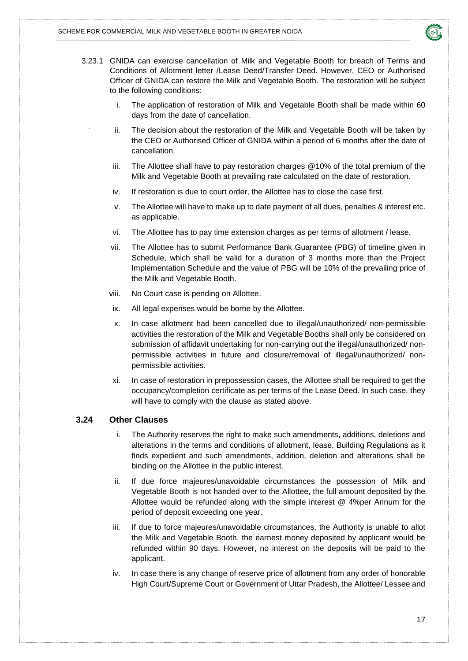

- 3.23.1 GNIDA can exercise cancellation of Milk and Vegetable Booth for breach of Terms and Conditions of Allotment letter /Lease Deed/Transfer Deed. However, CEO or Authorised Officer of GNIDA can restore the Milk and Vegetable Booth. The restoration will be subject to the following conditions:
	- i. The application of restoration of Milk and Vegetable Booth shall be made within 60 days from the date of cancellation.
	- ii. The decision about the restoration of the Milk and Vegetable Booth will be taken by the CEO or Authorised Officer of GNIDA within a period of 6 months after the date of cancellation.
	- iii. The Allottee shall have to pay restoration charges @10% of the total premium of the Milk and Vegetable Booth at prevailing rate calculated on the date of restoration.
	- iv. If restoration is due to court order, the Allottee has to close the case first.
	- v. The Allottee will have to make up to date payment of all dues, penalties & interest etc. as applicable.
	- vi. The Allottee has to pay time extension charges as per terms of allotment / lease.
	- vii. The Allottee has to submit Performance Bank Guarantee (PBG) of timeline given in Schedule, which shall be valid for a duration of 3 months more than the Project Implementation Schedule and the value of PBG will be 10% of the prevailing price of the Milk and Vegetable Booth.
	- viii. No Court case is pending on Allottee.
	- ix. All legal expenses would be borne by the Allottee.
	- x. In case allotment had been cancelled due to illegal/unauthorized/ non-permissible activities the restoration of the Milk and Vegetable Booths shall only be considered on submission of affidavit undertaking for non-carrying out the illegal/unauthorized/ nonpermissible activities in future and closure/removal of illegal/unauthorized/ nonpermissible activities.
	- xi. In case of restoration in prepossession cases, the Allottee shall be required to get the occupancy/completion certificate as per terms of the Lease Deed. In such case, they will have to comply with the clause as stated above.

#### <span id="page-19-0"></span>**3.24 Other Clauses**

- i. The Authority reserves the right to make such amendments, additions, deletions and alterations in the terms and conditions of allotment, lease, Building Regulations as it finds expedient and such amendments, addition, deletion and alterations shall be binding on the Allottee in the public interest.
- ii. If due force majeures/unavoidable circumstances the possession of Milk and Vegetable Booth is not handed over to the Allottee, the full amount deposited by the Allottee would be refunded along with the simple interest @ 4%per Annum for the period of deposit exceeding one year.
- iii. If due to force majeures/unavoidable circumstances, the Authority is unable to allot the Milk and Vegetable Booth, the earnest money deposited by applicant would be refunded within 90 days. However, no interest on the deposits will be paid to the applicant.
- iv. In case there is any change of reserve price of allotment from any order of honorable High Court/Supreme Court or Government of Uttar Pradesh, the Allottee/ Lessee and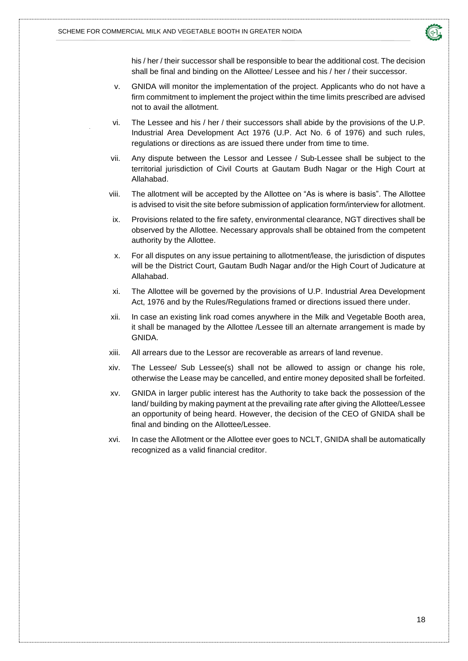

his / her / their successor shall be responsible to bear the additional cost. The decision shall be final and binding on the Allottee/ Lessee and his / her / their successor.

- v. GNIDA will monitor the implementation of the project. Applicants who do not have a firm commitment to implement the project within the time limits prescribed are advised not to avail the allotment.
- vi. The Lessee and his / her / their successors shall abide by the provisions of the U.P. Industrial Area Development Act 1976 (U.P. Act No. 6 of 1976) and such rules, regulations or directions as are issued there under from time to time.
- vii. Any dispute between the Lessor and Lessee / Sub-Lessee shall be subject to the territorial jurisdiction of Civil Courts at Gautam Budh Nagar or the High Court at Allahabad.
- viii. The allotment will be accepted by the Allottee on "As is where is basis". The Allottee is advised to visit the site before submission of application form/interview for allotment.
- ix. Provisions related to the fire safety, environmental clearance, NGT directives shall be observed by the Allottee. Necessary approvals shall be obtained from the competent authority by the Allottee.
- x. For all disputes on any issue pertaining to allotment/lease, the jurisdiction of disputes will be the District Court, Gautam Budh Nagar and/or the High Court of Judicature at Allahabad.
- xi. The Allottee will be governed by the provisions of U.P. Industrial Area Development Act, 1976 and by the Rules/Regulations framed or directions issued there under.
- xii. In case an existing link road comes anywhere in the Milk and Vegetable Booth area, it shall be managed by the Allottee /Lessee till an alternate arrangement is made by GNIDA.
- xiii. All arrears due to the Lessor are recoverable as arrears of land revenue.
- xiv. The Lessee/ Sub Lessee(s) shall not be allowed to assign or change his role, otherwise the Lease may be cancelled, and entire money deposited shall be forfeited.
- xv. GNIDA in larger public interest has the Authority to take back the possession of the land/ building by making payment at the prevailing rate after giving the Allottee/Lessee an opportunity of being heard. However, the decision of the CEO of GNIDA shall be final and binding on the Allottee/Lessee.
- xvi. In case the Allotment or the Allottee ever goes to NCLT, GNIDA shall be automatically recognized as a valid financial creditor.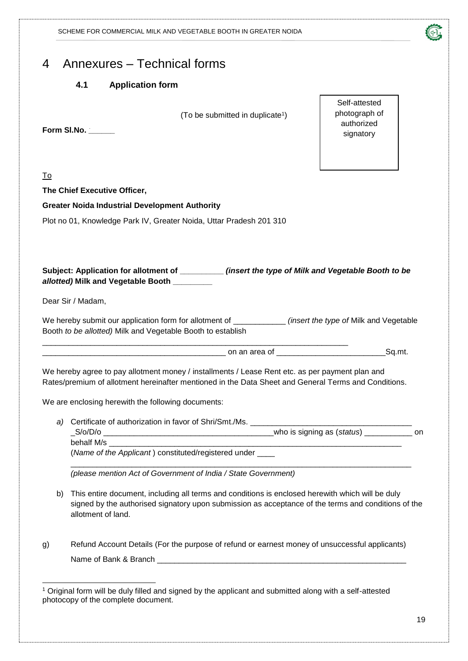<span id="page-21-1"></span><span id="page-21-0"></span>

| $\overline{4}$ | Annexures – Technical forms |  |  |
|----------------|-----------------------------|--|--|
|----------------|-----------------------------|--|--|

#### **4.1 Application form**

(To be submitted in duplicate<sup>1</sup>)

**Form Sl.No. \_\_\_\_\_\_**

Self-attested photograph of authorized signatory

| ×<br>۰. |
|---------|
|---------|

-

**The Chief Executive Officer,**

**Greater Noida Industrial Development Authority**

Plot no 01, Knowledge Park IV, Greater Noida, Uttar Pradesh 201 310

| Subject: Application for allotment of | (insert the type of Milk and Vegetable Booth to be |
|---------------------------------------|----------------------------------------------------|
| allotted) Milk and Vegetable Booth    |                                                    |

Dear Sir / Madam,

We hereby submit our application form for allotment of \_\_\_\_\_\_\_\_\_\_\_\_ *(insert the type of* Milk and Vegetable Booth *to be allotted)* Milk and Vegetable Booth to establish

\_\_\_\_\_\_\_\_\_\_\_\_\_\_\_\_\_\_\_\_\_\_\_\_\_\_\_\_\_\_\_\_\_\_\_\_\_\_\_\_\_\_ on an area of \_\_\_\_\_\_\_\_\_\_\_\_\_\_\_\_\_\_\_\_\_\_\_\_\_Sq.mt.

We hereby agree to pay allotment money / installments / Lease Rent etc. as per payment plan and Rates/premium of allotment hereinafter mentioned in the Data Sheet and General Terms and Conditions.

We are enclosing herewith the following documents:

*a*) Certificate of authorization in favor of Shri/Smt./Ms.

\_\_\_\_\_\_\_\_\_\_\_\_\_\_\_\_\_\_\_\_\_\_\_\_\_\_\_\_\_\_\_\_\_\_\_\_\_\_\_\_\_\_\_\_\_\_\_\_\_\_\_\_\_\_\_\_\_\_\_\_\_\_\_\_\_\_\_\_\_\_

\_S/o/D/o \_\_\_\_\_\_\_\_\_\_\_\_\_\_\_\_\_\_\_\_\_\_\_\_\_\_\_\_\_\_\_\_\_\_\_\_\_\_\_who is signing as (*status*) \_\_\_\_\_\_\_\_\_\_\_ on behalf M/s

(*Name of the Applicant* ) constituted/registered under \_\_\_\_ \_\_\_\_\_\_\_\_\_\_\_\_\_\_\_\_\_\_\_\_\_\_\_\_\_\_\_\_\_\_\_\_\_\_\_\_\_\_\_\_\_\_\_\_\_\_\_\_\_\_\_\_\_\_\_\_\_\_\_\_\_\_\_\_\_\_\_\_\_\_\_\_\_\_\_\_\_\_

*(please mention Act of Government of India / State Government)*

- b) This entire document, including all terms and conditions is enclosed herewith which will be duly signed by the authorised signatory upon submission as acceptance of the terms and conditions of the allotment of land.
- g) Refund Account Details (For the purpose of refund or earnest money of unsuccessful applicants) Name of Bank & Branch

<sup>1</sup> Original form will be duly filled and signed by the applicant and submitted along with a self-attested photocopy of the complete document.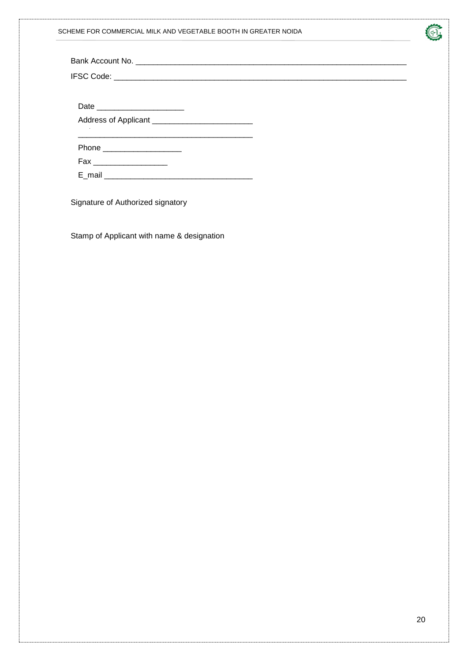| SCHEME FOR COMMERCIAL MILK AND VEGETABLE BOOTH IN GREATER NOIDA |
|-----------------------------------------------------------------|
|                                                                 |



| Address of Applicant ____________________________ |  |
|---------------------------------------------------|--|
|                                                   |  |
| Phone ______________________                      |  |
| Fax _____________________                         |  |
|                                                   |  |
|                                                   |  |

Signature of Authorized signatory

Stamp of Applicant with name & designation